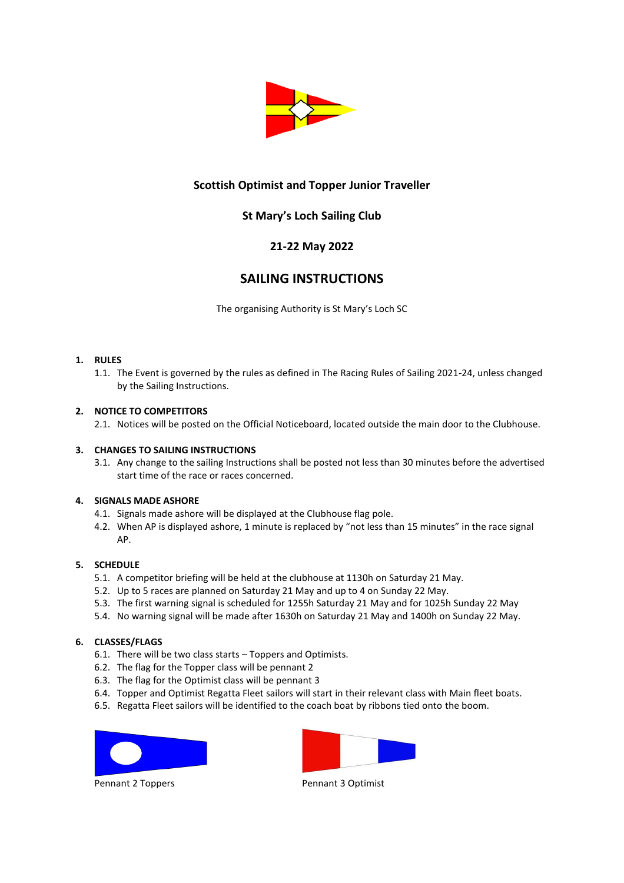

# **Scottish Optimist and Topper Junior Traveller**

# **St Mary's Loch Sailing Club**

# **21-22 May 2022**

# **SAILING INSTRUCTIONS**

The organising Authority is St Mary's Loch SC

### **1. RULES**

1.1. The Event is governed by the rules as defined in The Racing Rules of Sailing 2021-24, unless changed by the Sailing Instructions.

## **2. NOTICE TO COMPETITORS**

2.1. Notices will be posted on the Official Noticeboard, located outside the main door to the Clubhouse.

### **3. CHANGES TO SAILING INSTRUCTIONS**

3.1. Any change to the sailing Instructions shall be posted not less than 30 minutes before the advertised start time of the race or races concerned.

### **4. SIGNALS MADE ASHORE**

- 4.1. Signals made ashore will be displayed at the Clubhouse flag pole.
- 4.2. When AP is displayed ashore, 1 minute is replaced by "not less than 15 minutes" in the race signal AP.

### **5. SCHEDULE**

- 5.1. A competitor briefing will be held at the clubhouse at 1130h on Saturday 21 May.
- 5.2. Up to 5 races are planned on Saturday 21 May and up to 4 on Sunday 22 May.
- 5.3. The first warning signal is scheduled for 1255h Saturday 21 May and for 1025h Sunday 22 May
- 5.4. No warning signal will be made after 1630h on Saturday 21 May and 1400h on Sunday 22 May.

## **6. CLASSES/FLAGS**

- 6.1. There will be two class starts Toppers and Optimists.
- 6.2. The flag for the Topper class will be pennant 2
- 6.3. The flag for the Optimist class will be pennant 3
- 6.4. Topper and Optimist Regatta Fleet sailors will start in their relevant class with Main fleet boats.
- 6.5. Regatta Fleet sailors will be identified to the coach boat by ribbons tied onto the boom.





Pennant 2 Toppers **Pennant 3 Optimist**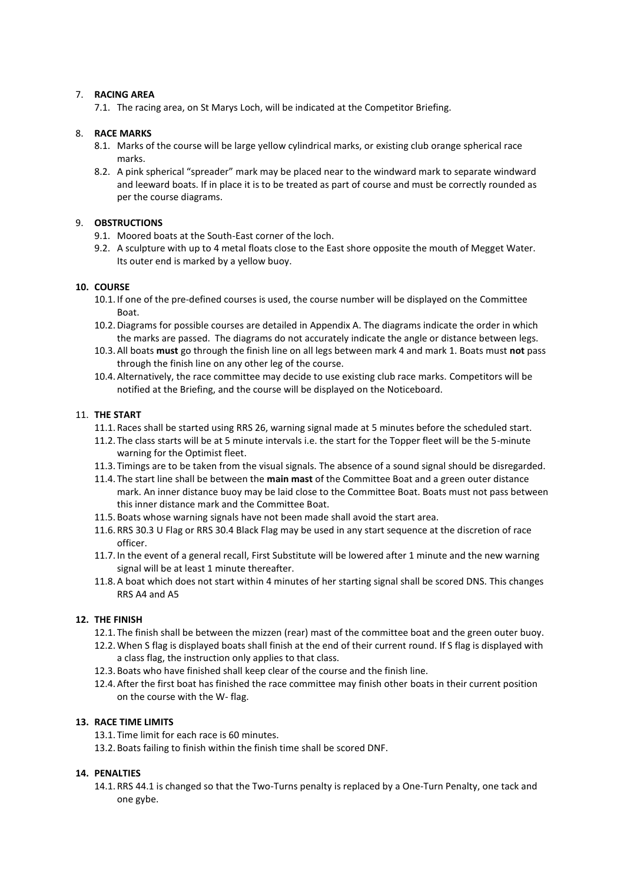### 7. **RACING AREA**

7.1. The racing area, on St Marys Loch, will be indicated at the Competitor Briefing.

## 8. **RACE MARKS**

- 8.1. Marks of the course will be large yellow cylindrical marks, or existing club orange spherical race marks.
- 8.2. A pink spherical "spreader" mark may be placed near to the windward mark to separate windward and leeward boats. If in place it is to be treated as part of course and must be correctly rounded as per the course diagrams.

## 9. **OBSTRUCTIONS**

- 9.1. Moored boats at the South-East corner of the loch.
- 9.2. A sculpture with up to 4 metal floats close to the East shore opposite the mouth of Megget Water. Its outer end is marked by a yellow buoy.

## **10. COURSE**

- 10.1. If one of the pre-defined courses is used, the course number will be displayed on the Committee Boat.
- 10.2.Diagrams for possible courses are detailed in Appendix A. The diagrams indicate the order in which the marks are passed. The diagrams do not accurately indicate the angle or distance between legs.
- 10.3.All boats **must** go through the finish line on all legs between mark 4 and mark 1. Boats must **not** pass through the finish line on any other leg of the course.
- 10.4.Alternatively, the race committee may decide to use existing club race marks. Competitors will be notified at the Briefing, and the course will be displayed on the Noticeboard.

## 11. **THE START**

- 11.1. Races shall be started using RRS 26, warning signal made at 5 minutes before the scheduled start.
- 11.2. The class starts will be at 5 minute intervals i.e. the start for the Topper fleet will be the 5-minute warning for the Optimist fleet.
- 11.3. Timings are to be taken from the visual signals. The absence of a sound signal should be disregarded.
- 11.4. The start line shall be between the **main mast** of the Committee Boat and a green outer distance mark. An inner distance buoy may be laid close to the Committee Boat. Boats must not pass between this inner distance mark and the Committee Boat.
- 11.5. Boats whose warning signals have not been made shall avoid the start area.
- 11.6. RRS 30.3 U Flag or RRS 30.4 Black Flag may be used in any start sequence at the discretion of race officer.
- 11.7. In the event of a general recall, First Substitute will be lowered after 1 minute and the new warning signal will be at least 1 minute thereafter.
- 11.8.A boat which does not start within 4 minutes of her starting signal shall be scored DNS. This changes RRS A4 and A5

### **12. THE FINISH**

- 12.1. The finish shall be between the mizzen (rear) mast of the committee boat and the green outer buoy.
- 12.2.When S flag is displayed boats shall finish at the end of their current round. If S flag is displayed with a class flag, the instruction only applies to that class.
- 12.3. Boats who have finished shall keep clear of the course and the finish line.
- 12.4.After the first boat has finished the race committee may finish other boats in their current position on the course with the W- flag.

### **13. RACE TIME LIMITS**

- 13.1. Time limit for each race is 60 minutes.
- 13.2. Boats failing to finish within the finish time shall be scored DNF.

## **14. PENALTIES**

14.1. RRS 44.1 is changed so that the Two-Turns penalty is replaced by a One-Turn Penalty, one tack and one gybe.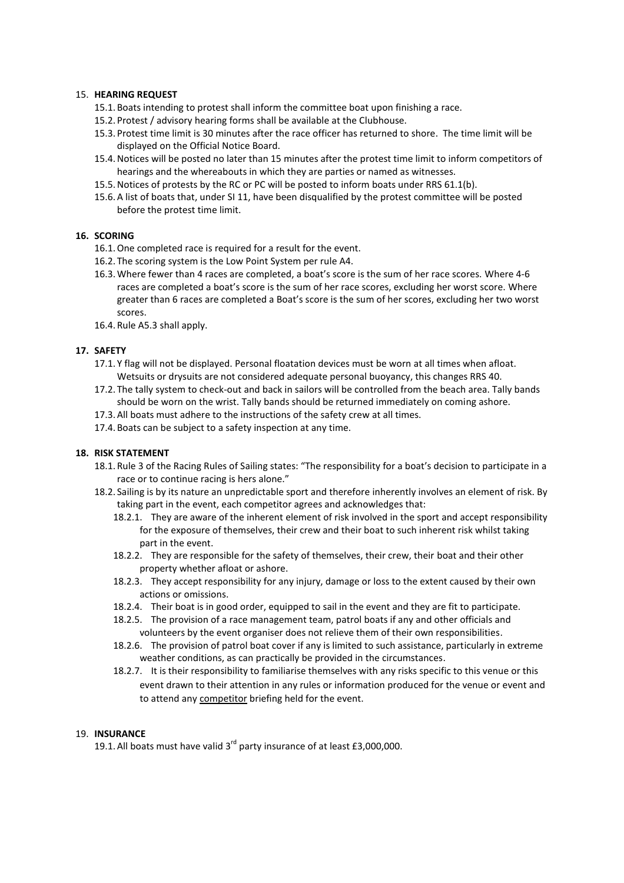### 15. **HEARING REQUEST**

- 15.1. Boats intending to protest shall inform the committee boat upon finishing a race.
- 15.2. Protest / advisory hearing forms shall be available at the Clubhouse.
- 15.3. Protest time limit is 30 minutes after the race officer has returned to shore. The time limit will be displayed on the Official Notice Board.
- 15.4.Notices will be posted no later than 15 minutes after the protest time limit to inform competitors of hearings and the whereabouts in which they are parties or named as witnesses.
- 15.5.Notices of protests by the RC or PC will be posted to inform boats under RRS 61.1(b).
- 15.6.A list of boats that, under SI 11, have been disqualified by the protest committee will be posted before the protest time limit.

## **16. SCORING**

- 16.1.One completed race is required for a result for the event.
- 16.2. The scoring system is the Low Point System per rule A4.
- 16.3.Where fewer than 4 races are completed, a boat's score is the sum of her race scores. Where 4-6 races are completed a boat's score is the sum of her race scores, excluding her worst score. Where greater than 6 races are completed a Boat's score is the sum of her scores, excluding her two worst scores.
- 16.4. Rule A5.3 shall apply.

## **17. SAFETY**

- 17.1. Y flag will not be displayed. Personal floatation devices must be worn at all times when afloat. Wetsuits or drysuits are not considered adequate personal buoyancy, this changes RRS 40.
- 17.2. The tally system to check-out and back in sailors will be controlled from the beach area. Tally bands should be worn on the wrist. Tally bands should be returned immediately on coming ashore.
- 17.3.All boats must adhere to the instructions of the safety crew at all times.
- 17.4. Boats can be subject to a safety inspection at any time.

### **18. RISK STATEMENT**

- 18.1. Rule 3 of the Racing Rules of Sailing states: "The responsibility for a boat's decision to participate in a race or to continue racing is hers alone."
- 18.2. Sailing is by its nature an unpredictable sport and therefore inherently involves an element of risk. By taking part in the event, each competitor agrees and acknowledges that:
	- 18.2.1. They are aware of the inherent element of risk involved in the sport and accept responsibility for the exposure of themselves, their crew and their boat to such inherent risk whilst taking part in the event.
	- 18.2.2. They are responsible for the safety of themselves, their crew, their boat and their other property whether afloat or ashore.
	- 18.2.3. They accept responsibility for any injury, damage or loss to the extent caused by their own actions or omissions.
	- 18.2.4. Their boat is in good order, equipped to sail in the event and they are fit to participate.
	- 18.2.5. The provision of a race management team, patrol boats if any and other officials and volunteers by the event organiser does not relieve them of their own responsibilities.
	- 18.2.6. The provision of patrol boat cover if any is limited to such assistance, particularly in extreme weather conditions, as can practically be provided in the circumstances.
	- 18.2.7. It is their responsibility to familiarise themselves with any risks specific to this venue or this event drawn to their attention in any rules or information produced for the venue or event and to attend any competitor briefing held for the event.

### 19. **INSURANCE**

19.1. All boats must have valid  $3^{rd}$  party insurance of at least £3,000,000.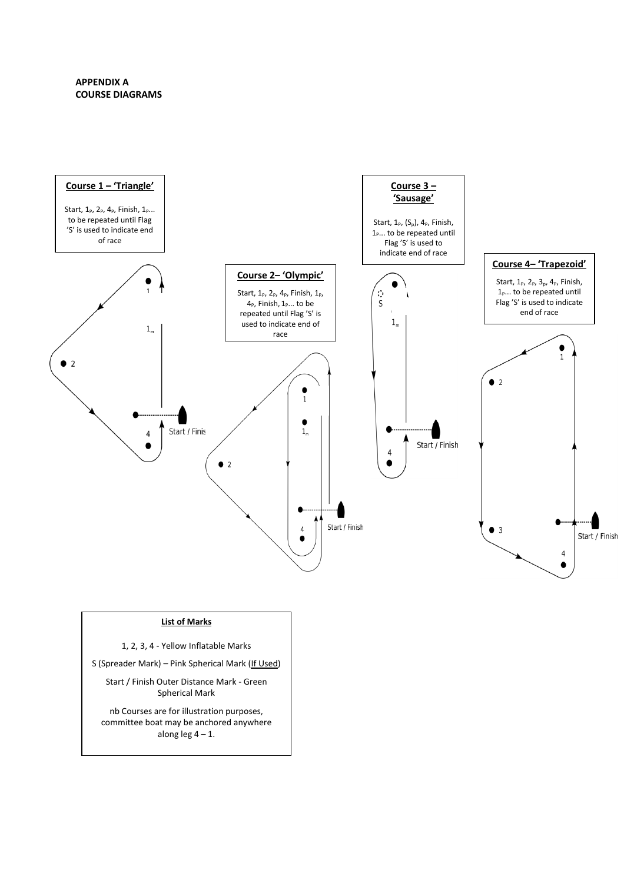## **APPENDIX A COURSE DIAGRAMS**



#### **List of Marks**

- 1, 2, 3, 4 Yellow Inflatable Marks
- S (Spreader Mark) Pink Spherical Mark (If Used)

Start / Finish Outer Distance Mark - Green Spherical Mark

nb Courses are for illustration purposes, committee boat may be anchored anywhere along leg  $4 - 1$ .